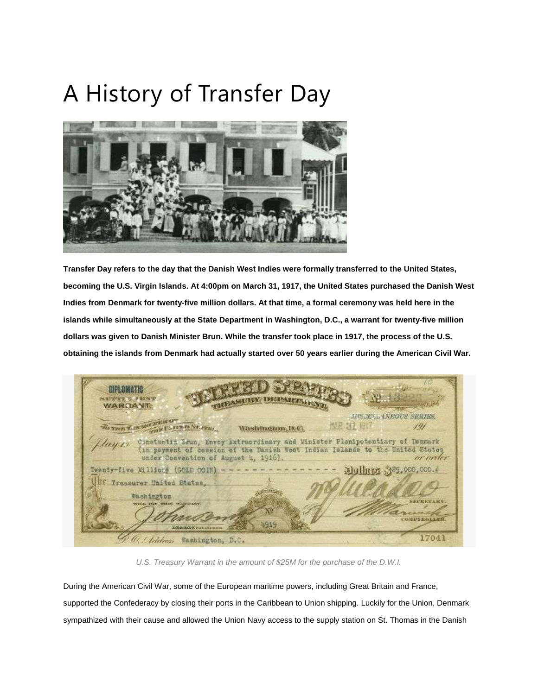## A History of Transfer Day



Transfer Day refers to the day that the Danish West Indies were formally transferred to the United States, becoming the U.S. Virgin Islands. At 4:00pm on March 31, 1917, the United States purchased the Danish West Indies from Denmark for twenty-five million dollars. At that time, a formal ceremony was held here in the **islands while simultaneously at the State Department in Washington, D.C., a warrant for twenty-five million** dollars was given to Danish Minister Brun. While the transfer took place in 1917, the process of the U.S. obtaining the islands from Denmark had actually started over 50 years earlier during the American Civil War.

DIPLOMATIC **SHOTTER SLANDOWS** WARTIANT **MECEL ANEOUS SERIES THE LEASE PRICE** TOP PARTNER NEWS 情景 表 超级 191 Washington, D.C. Brun, Envoy Extraordinary and Minister Plenipotentiary of Denmark Cinetaptiz in payment of cossion of the Danish West Indian Islands to the United States under Convention of August 4, 1916). or order wenty-five Million# (GOLD COIN) 5,000,000. **ITER** Treasurer United States, **CATTERING** Washington **SECRETARY** WILL OUT THIS Ńβ **GREETHOLLES** 4919 Look Book of November 1 17041 10. Chidren Namington, D.C.

*U.S. Treasury Warrant in the amount of \$25M for the purchase of the D.W.I.*

During the American Civil War, some of the European maritime powers, including Great Britain and France, supported the Confederacy by closing their ports in the Caribbean to Union shipping. Luckily for the Union, Denmark sympathized with their cause and allowed the Union Navy access to the supply station on St. Thomas in the Danish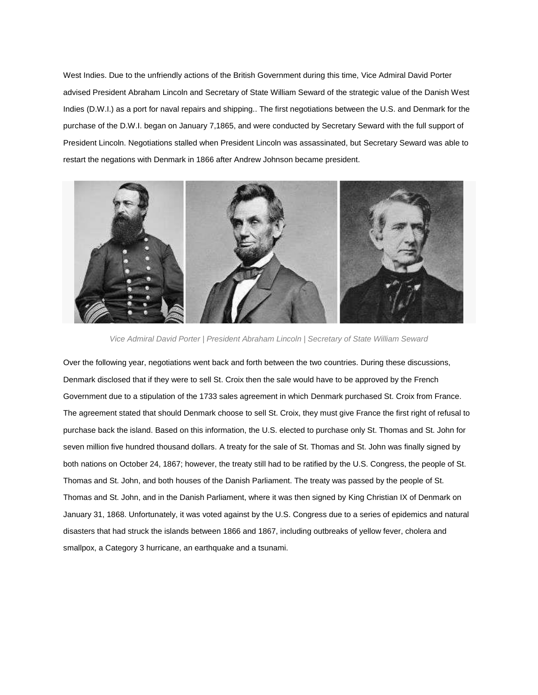West Indies. Due to the unfriendly actions of the British Government during this time, Vice Admiral David Porter advised President Abraham Lincoln and Secretary of State William Seward of the strategic value of the Danish West Indies (D.W.I.) as a port for naval repairs and shipping.. The first negotiations between the U.S. and Denmark for the purchase of the D.W.I. began on January 7,1865, and were conducted by Secretary Seward with the full support of President Lincoln. Negotiations stalled when President Lincoln was assassinated, but Secretary Seward was able to restart the negations with Denmark in 1866 after Andrew Johnson became president.



*Vice Admiral David Porter | President Abraham Lincoln | Secretary of State William Seward*

Over the following year, negotiations went back and forth between the two countries. During these discussions, Denmark disclosed that if they were to sell St. Croix then the sale would have to be approved by the French Government due to a stipulation of the 1733 sales agreement in which Denmark purchased St. Croix from France. The agreement stated that should Denmark choose to sell St. Croix, they must give France the first right of refusal to purchase back the island. Based on this information, the U.S. elected to purchase only St. Thomas and St. John for seven million five hundred thousand dollars. A treaty for the sale of St. Thomas and St. John was finally signed by both nations on October 24, 1867; however, the treaty still had to be ratified by the U.S. Congress, the people of St. Thomas and St. John, and both houses of the Danish Parliament. The treaty was passed by the people of St. Thomas and St. John, and in the Danish Parliament, where it was then signed by King Christian IX of Denmark on January 31, 1868. Unfortunately, it was voted against by the U.S. Congress due to a series of epidemics and natural disasters that had struck the islands between 1866 and 1867, including outbreaks of yellow fever, cholera and smallpox, a Category 3 hurricane, an earthquake and a tsunami.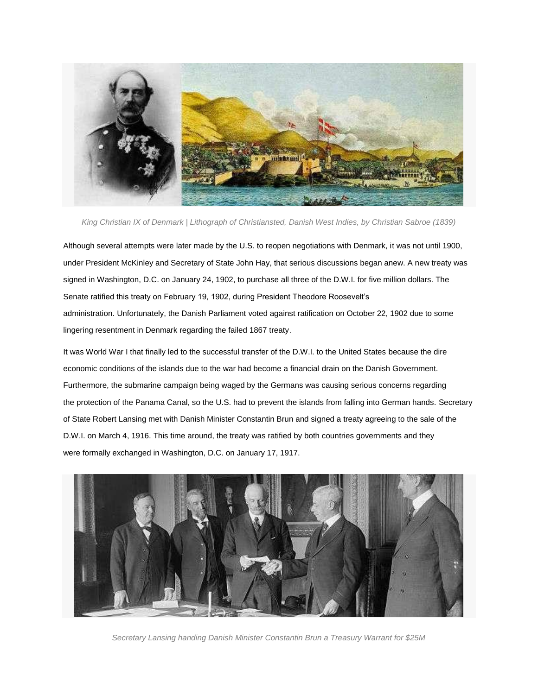

*King Christian IX of Denmark | Lithograph of Christiansted, Danish West Indies, by Christian Sabroe (1839)*

Although several attempts were later made by the U.S. to reopen negotiations with Denmark, it was not until 1900, under President McKinley and Secretary of State John Hay, that serious discussions began anew. A new treaty was signed in Washington, D.C. on January 24, 1902, to purchase all three of the D.W.I. for five million dollars. The Senate ratified this treaty on February 19, 1902, during President Theodore Roosevelt's administration. Unfortunately, the Danish Parliament voted against ratification on October 22, 1902 due to some lingering resentment in Denmark regarding the failed 1867 treaty.

It was World War I that finally led to the successful transfer of the D.W.I. to the United States because the dire economic conditions of the islands due to the war had become a financial drain on the Danish Government. Furthermore, the submarine campaign being waged by the Germans was causing serious concerns regarding the protection of the Panama Canal, so the U.S. had to prevent the islands from falling into German hands. Secretary of State Robert Lansing met with Danish Minister Constantin Brun and signed a treaty agreeing to the sale of the D.W.I. on March 4, 1916. This time around, the treaty was ratified by both countries governments and they were formally exchanged in Washington, D.C. on January 17, 1917.



*Secretary Lansing handing Danish Minister Constantin Brun a Treasury Warrant for \$25M*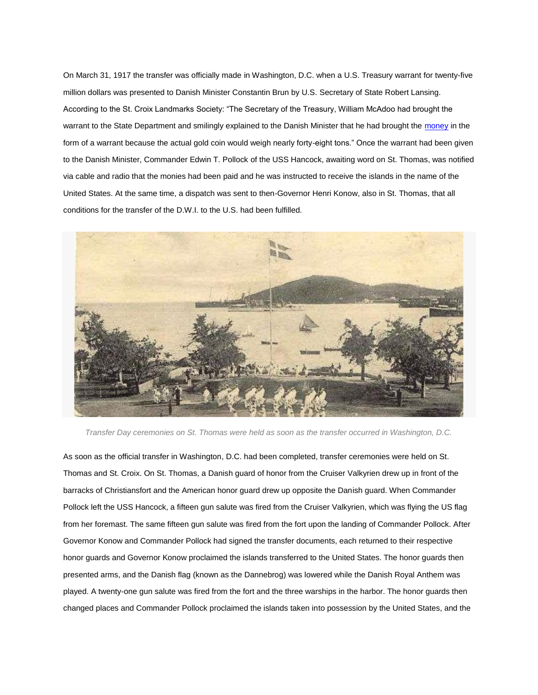On March 31, 1917 the transfer was officially made in Washington, D.C. when a U.S. Treasury warrant for twenty-five million dollars was presented to Danish Minister Constantin Brun by U.S. Secretary of State Robert Lansing. According to the St. Croix Landmarks Society: "The Secretary of the Treasury, William McAdoo had brought the warrant to the State Department and smilingly explained to the Danish Minister that he had brought the [money](http://www.gotostcroix.com/st-croix-blog/a-history-of-transfer-day/) in the form of a warrant because the actual gold coin would weigh nearly forty-eight tons." Once the warrant had been given to the Danish Minister, Commander Edwin T. Pollock of the USS Hancock, awaiting word on St. Thomas, was notified via cable and radio that the monies had been paid and he was instructed to receive the islands in the name of the United States. At the same time, a dispatch was sent to then-Governor Henri Konow, also in St. Thomas, that all conditions for the transfer of the D.W.I. to the U.S. had been fulfilled.



*Transfer Day ceremonies on St. Thomas were held as soon as the transfer occurred in Washington, D.C.*

As soon as the official transfer in Washington, D.C. had been completed, transfer ceremonies were held on St. Thomas and St. Croix. On St. Thomas, a Danish guard of honor from the Cruiser Valkyrien drew up in front of the barracks of Christiansfort and the American honor guard drew up opposite the Danish guard. When Commander Pollock left the USS Hancock, a fifteen gun salute was fired from the Cruiser Valkyrien, which was flying the US flag from her foremast. The same fifteen gun salute was fired from the fort upon the landing of Commander Pollock. After Governor Konow and Commander Pollock had signed the transfer documents, each returned to their respective honor guards and Governor Konow proclaimed the islands transferred to the United States. The honor guards then presented arms, and the Danish flag (known as the Dannebrog) was lowered while the Danish Royal Anthem was played. A twenty-one gun salute was fired from the fort and the three warships in the harbor. The honor guards then changed places and Commander Pollock proclaimed the islands taken into possession by the United States, and the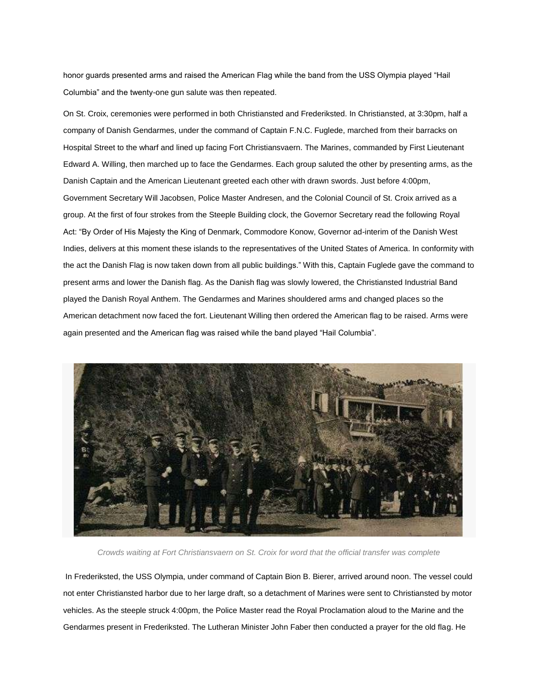honor guards presented arms and raised the American Flag while the band from the USS Olympia played "Hail Columbia" and the twenty-one gun salute was then repeated.

On St. Croix, ceremonies were performed in both Christiansted and Frederiksted. In Christiansted, at 3:30pm, half a company of Danish Gendarmes, under the command of Captain F.N.C. Fuglede, marched from their barracks on Hospital Street to the wharf and lined up facing Fort Christiansvaern. The Marines, commanded by First Lieutenant Edward A. Willing, then marched up to face the Gendarmes. Each group saluted the other by presenting arms, as the Danish Captain and the American Lieutenant greeted each other with drawn swords. Just before 4:00pm, Government Secretary Will Jacobsen, Police Master Andresen, and the Colonial Council of St. Croix arrived as a group. At the first of four strokes from the Steeple Building clock, the Governor Secretary read the following Royal Act: "By Order of His Majesty the King of Denmark, Commodore Konow, Governor ad-interim of the Danish West Indies, delivers at this moment these islands to the representatives of the United States of America. In conformity with the act the Danish Flag is now taken down from all public buildings." With this, Captain Fuglede gave the command to present arms and lower the Danish flag. As the Danish flag was slowly lowered, the Christiansted Industrial Band played the Danish Royal Anthem. The Gendarmes and Marines shouldered arms and changed places so the American detachment now faced the fort. Lieutenant Willing then ordered the American flag to be raised. Arms were again presented and the American flag was raised while the band played "Hail Columbia".



*Crowds waiting at Fort Christiansvaern on St. Croix for word that the official transfer was complete*

In Frederiksted, the USS Olympia, under command of Captain Bion B. Bierer, arrived around noon. The vessel could not enter Christiansted harbor due to her large draft, so a detachment of Marines were sent to Christiansted by motor vehicles. As the steeple struck 4:00pm, the Police Master read the Royal Proclamation aloud to the Marine and the Gendarmes present in Frederiksted. The Lutheran Minister John Faber then conducted a prayer for the old flag. He